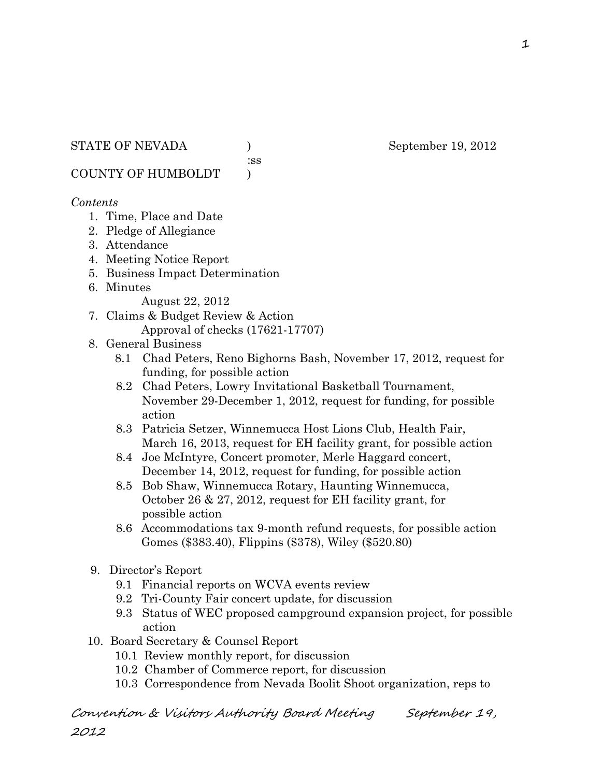:ss

COUNTY OF HUMBOLDT )

#### *Contents*

- 1. Time, Place and Date
- 2. Pledge of Allegiance
- 3. Attendance
- 4. Meeting Notice Report
- 5. Business Impact Determination
- 6. Minutes

August 22, 2012

- 7. Claims & Budget Review & Action Approval of checks (17621-17707)
- 8. General Business
	- 8.1 Chad Peters, Reno Bighorns Bash, November 17, 2012, request for funding, for possible action
	- 8.2 Chad Peters, Lowry Invitational Basketball Tournament, November 29-December 1, 2012, request for funding, for possible action
	- 8.3 Patricia Setzer, Winnemucca Host Lions Club, Health Fair, March 16, 2013, request for EH facility grant, for possible action
	- 8.4 Joe McIntyre, Concert promoter, Merle Haggard concert, December 14, 2012, request for funding, for possible action
	- 8.5 Bob Shaw, Winnemucca Rotary, Haunting Winnemucca, October 26 & 27, 2012, request for EH facility grant, for possible action
	- 8.6 Accommodations tax 9-month refund requests, for possible action Gomes (\$383.40), Flippins (\$378), Wiley (\$520.80)
- 9. Director's Report
	- 9.1 Financial reports on WCVA events review
	- 9.2 Tri-County Fair concert update, for discussion
	- 9.3 Status of WEC proposed campground expansion project, for possible action
- 10. Board Secretary & Counsel Report
	- 10.1 Review monthly report, for discussion
	- 10.2 Chamber of Commerce report, for discussion
	- 10.3 Correspondence from Nevada Boolit Shoot organization, reps to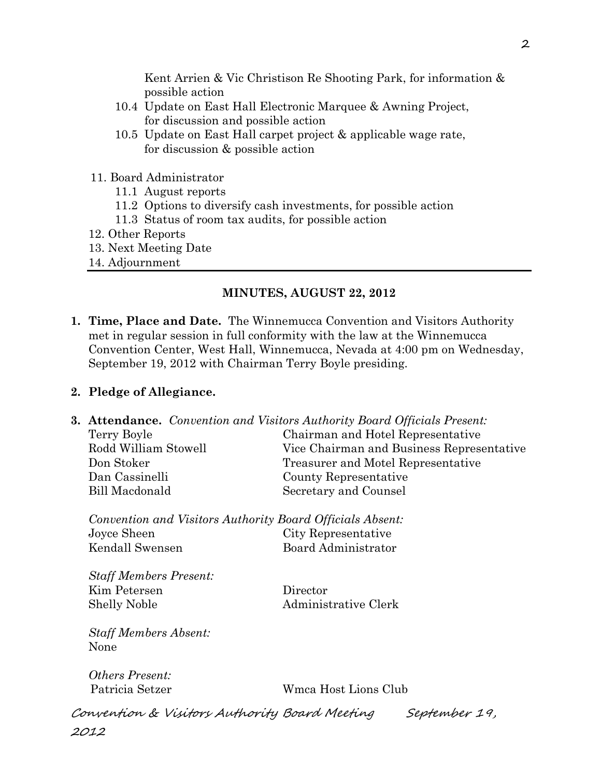Kent Arrien & Vic Christison Re Shooting Park, for information & possible action

- 10.4 Update on East Hall Electronic Marquee & Awning Project, for discussion and possible action
- 10.5 Update on East Hall carpet project & applicable wage rate, for discussion & possible action
- 11. Board Administrator
	- 11.1 August reports
	- 11.2 Options to diversify cash investments, for possible action
	- 11.3 Status of room tax audits, for possible action
- 12. Other Reports
- 13. Next Meeting Date
- 14. Adjournment

## **MINUTES, AUGUST 22, 2012**

**1. Time, Place and Date.** The Winnemucca Convention and Visitors Authority met in regular session in full conformity with the law at the Winnemucca Convention Center, West Hall, Winnemucca, Nevada at 4:00 pm on Wednesday, September 19, 2012 with Chairman Terry Boyle presiding.

#### **2. Pledge of Allegiance.**

**3. Attendance.** *Convention and Visitors Authority Board Officials Present:*

| Terry Boyle          | Chairman and Hotel Representative         |
|----------------------|-------------------------------------------|
| Rodd William Stowell | Vice Chairman and Business Representative |
| Don Stoker           | Treasurer and Motel Representative        |
| Dan Cassinelli       | County Representative                     |
| Bill Macdonald       | Secretary and Counsel                     |
|                      |                                           |

*Convention and Visitors Authority Board Officials Absent:* Joyce Sheen City Representative Kendall Swensen Board Administrator

*Staff Members Present:* Kim Petersen Director Shelly Noble Administrative Clerk

*Staff Members Absent:* None

*Others Present:*

Patricia Setzer Wmca Host Lions Club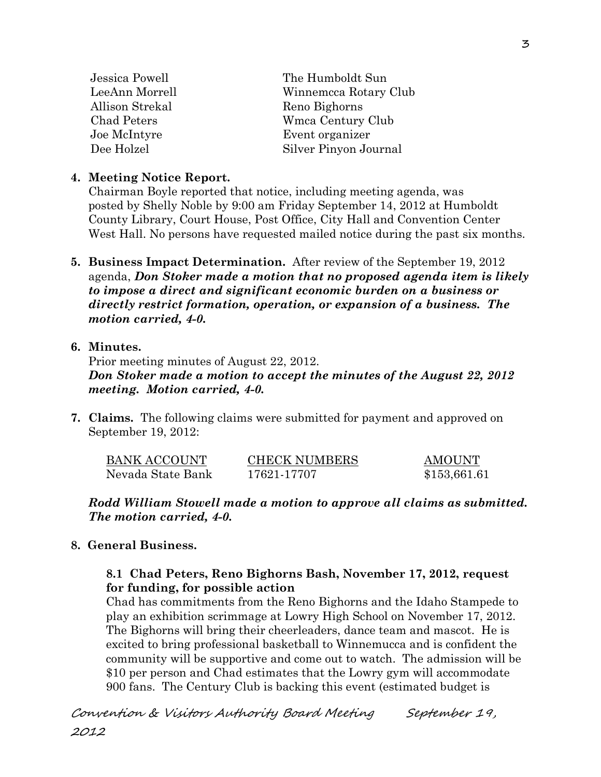| Winnemcca Rotary Club |
|-----------------------|
|                       |
|                       |
|                       |
|                       |
|                       |

## **4. Meeting Notice Report.**

Chairman Boyle reported that notice, including meeting agenda, was posted by Shelly Noble by 9:00 am Friday September 14, 2012 at Humboldt County Library, Court House, Post Office, City Hall and Convention Center West Hall. No persons have requested mailed notice during the past six months.

**5. Business Impact Determination.** After review of the September 19, 2012 agenda, *Don Stoker made a motion that no proposed agenda item is likely to impose a direct and significant economic burden on a business or directly restrict formation, operation, or expansion of a business. The motion carried, 4-0.* 

# **6. Minutes.**

Prior meeting minutes of August 22, 2012. *Don Stoker made a motion to accept the minutes of the August 22, 2012 meeting. Motion carried, 4-0.* 

**7. Claims.** The following claims were submitted for payment and approved on September 19, 2012:

| BANK ACCOUNT      | <b>CHECK NUMBERS</b> | <b>AMOUNT</b> |
|-------------------|----------------------|---------------|
| Nevada State Bank | 17621-17707          | \$153,661.61  |

*Rodd William Stowell made a motion to approve all claims as submitted. The motion carried, 4-0.*

# **8. General Business.**

## **8.1 Chad Peters, Reno Bighorns Bash, November 17, 2012, request for funding, for possible action**

Chad has commitments from the Reno Bighorns and the Idaho Stampede to play an exhibition scrimmage at Lowry High School on November 17, 2012. The Bighorns will bring their cheerleaders, dance team and mascot. He is excited to bring professional basketball to Winnemucca and is confident the community will be supportive and come out to watch. The admission will be \$10 per person and Chad estimates that the Lowry gym will accommodate 900 fans. The Century Club is backing this event (estimated budget is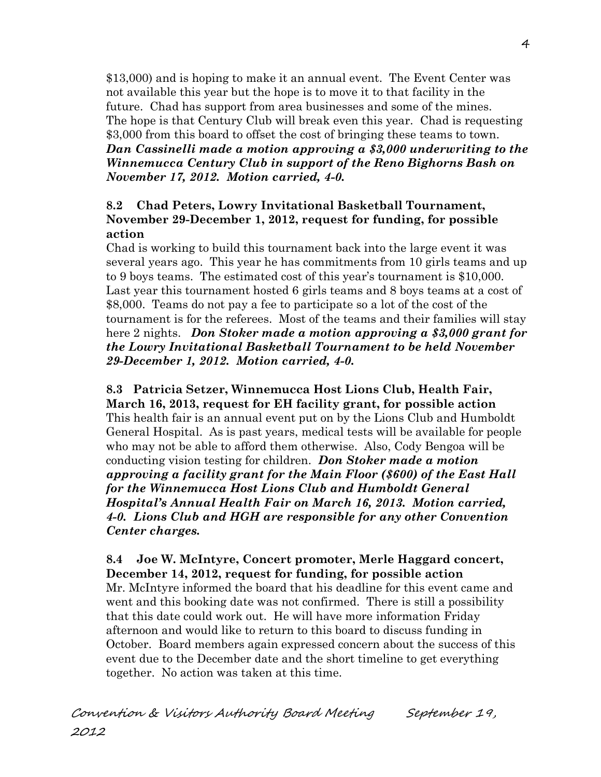\$13,000) and is hoping to make it an annual event. The Event Center was not available this year but the hope is to move it to that facility in the future. Chad has support from area businesses and some of the mines. The hope is that Century Club will break even this year. Chad is requesting \$3,000 from this board to offset the cost of bringing these teams to town. *Dan Cassinelli made a motion approving a \$3,000 underwriting to the Winnemucca Century Club in support of the Reno Bighorns Bash on November 17, 2012. Motion carried, 4-0.* 

# **8.2 Chad Peters, Lowry Invitational Basketball Tournament, November 29-December 1, 2012, request for funding, for possible action**

Chad is working to build this tournament back into the large event it was several years ago. This year he has commitments from 10 girls teams and up to 9 boys teams. The estimated cost of this year's tournament is \$10,000. Last year this tournament hosted 6 girls teams and 8 boys teams at a cost of \$8,000. Teams do not pay a fee to participate so a lot of the cost of the tournament is for the referees. Most of the teams and their families will stay here 2 nights. *Don Stoker made a motion approving a \$3,000 grant for the Lowry Invitational Basketball Tournament to be held November 29-December 1, 2012. Motion carried, 4-0.* 

**8.3 Patricia Setzer, Winnemucca Host Lions Club, Health Fair, March 16, 2013, request for EH facility grant, for possible action** This health fair is an annual event put on by the Lions Club and Humboldt General Hospital. As is past years, medical tests will be available for people who may not be able to afford them otherwise. Also, Cody Bengoa will be conducting vision testing for children. *Don Stoker made a motion approving a facility grant for the Main Floor (\$600) of the East Hall for the Winnemucca Host Lions Club and Humboldt General Hospital's Annual Health Fair on March 16, 2013. Motion carried, 4-0. Lions Club and HGH are responsible for any other Convention Center charges.* 

**8.4 Joe W. McIntyre, Concert promoter, Merle Haggard concert, December 14, 2012, request for funding, for possible action** Mr. McIntyre informed the board that his deadline for this event came and went and this booking date was not confirmed. There is still a possibility that this date could work out. He will have more information Friday afternoon and would like to return to this board to discuss funding in October. Board members again expressed concern about the success of this event due to the December date and the short timeline to get everything together. No action was taken at this time.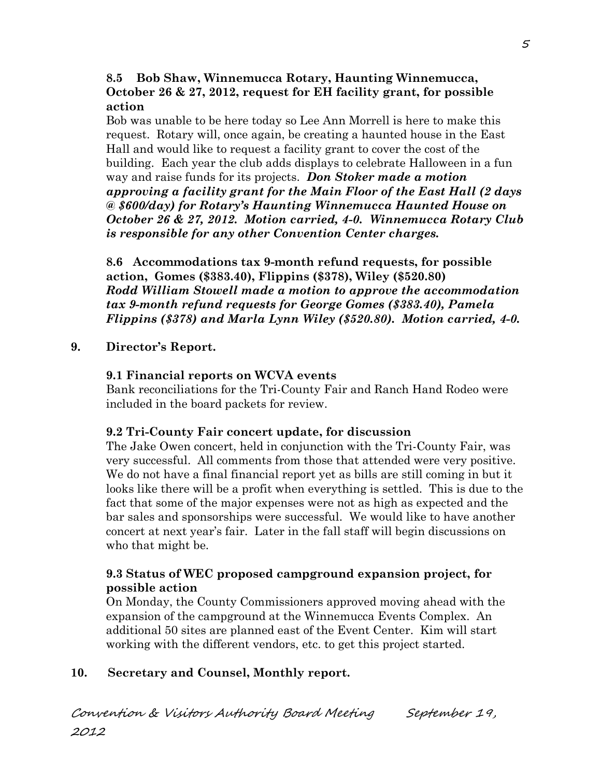## **8.5 Bob Shaw, Winnemucca Rotary, Haunting Winnemucca, October 26 & 27, 2012, request for EH facility grant, for possible action**

Bob was unable to be here today so Lee Ann Morrell is here to make this request. Rotary will, once again, be creating a haunted house in the East Hall and would like to request a facility grant to cover the cost of the building. Each year the club adds displays to celebrate Halloween in a fun way and raise funds for its projects. *Don Stoker made a motion approving a facility grant for the Main Floor of the East Hall (2 days @ \$600/day) for Rotary's Haunting Winnemucca Haunted House on October 26 & 27, 2012. Motion carried, 4-0. Winnemucca Rotary Club is responsible for any other Convention Center charges.*

**8.6 Accommodations tax 9-month refund requests, for possible action, Gomes (\$383.40), Flippins (\$378), Wiley (\$520.80)** *Rodd William Stowell made a motion to approve the accommodation tax 9-month refund requests for George Gomes (\$383.40), Pamela Flippins (\$378) and Marla Lynn Wiley (\$520.80). Motion carried, 4-0.*

# **9. Director's Report.**

# **9.1 Financial reports on WCVA events**

Bank reconciliations for the Tri-County Fair and Ranch Hand Rodeo were included in the board packets for review.

# **9.2 Tri-County Fair concert update, for discussion**

The Jake Owen concert, held in conjunction with the Tri-County Fair, was very successful. All comments from those that attended were very positive. We do not have a final financial report yet as bills are still coming in but it looks like there will be a profit when everything is settled. This is due to the fact that some of the major expenses were not as high as expected and the bar sales and sponsorships were successful. We would like to have another concert at next year's fair. Later in the fall staff will begin discussions on who that might be.

# **9.3 Status of WEC proposed campground expansion project, for possible action**

On Monday, the County Commissioners approved moving ahead with the expansion of the campground at the Winnemucca Events Complex. An additional 50 sites are planned east of the Event Center. Kim will start working with the different vendors, etc. to get this project started.

# **10. Secretary and Counsel, Monthly report.**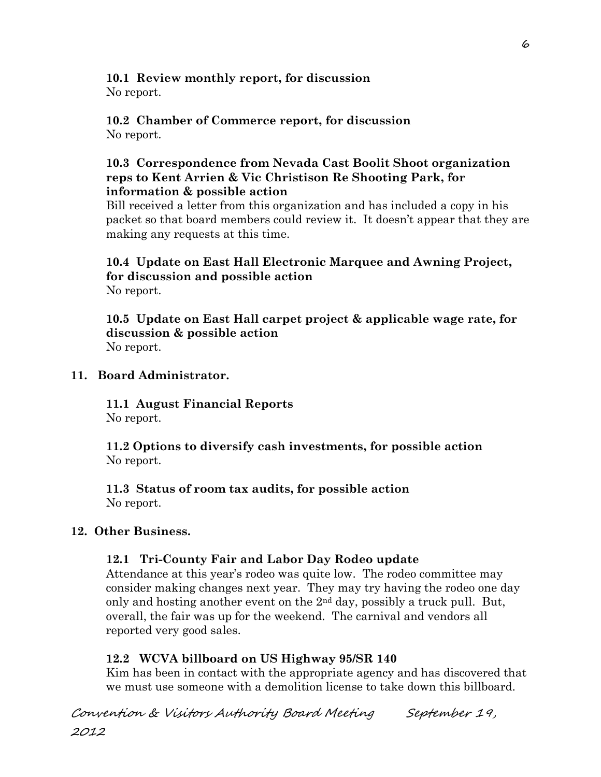#### **10.1 Review monthly report, for discussion** No report.

#### **10.2 Chamber of Commerce report, for discussion** No report.

## **10.3 Correspondence from Nevada Cast Boolit Shoot organization reps to Kent Arrien & Vic Christison Re Shooting Park, for information & possible action**

Bill received a letter from this organization and has included a copy in his packet so that board members could review it. It doesn't appear that they are making any requests at this time.

# **10.4 Update on East Hall Electronic Marquee and Awning Project, for discussion and possible action** No report.

**10.5 Update on East Hall carpet project & applicable wage rate, for discussion & possible action** No report.

# **11. Board Administrator.**

**11.1 August Financial Reports** No report.

**11.2 Options to diversify cash investments, for possible action** No report.

**11.3 Status of room tax audits, for possible action** No report.

# **12. Other Business.**

# **12.1 Tri-County Fair and Labor Day Rodeo update**

Attendance at this year's rodeo was quite low. The rodeo committee may consider making changes next year. They may try having the rodeo one day only and hosting another event on the 2nd day, possibly a truck pull. But, overall, the fair was up for the weekend. The carnival and vendors all reported very good sales.

# **12.2 WCVA billboard on US Highway 95/SR 140**

Kim has been in contact with the appropriate agency and has discovered that we must use someone with a demolition license to take down this billboard.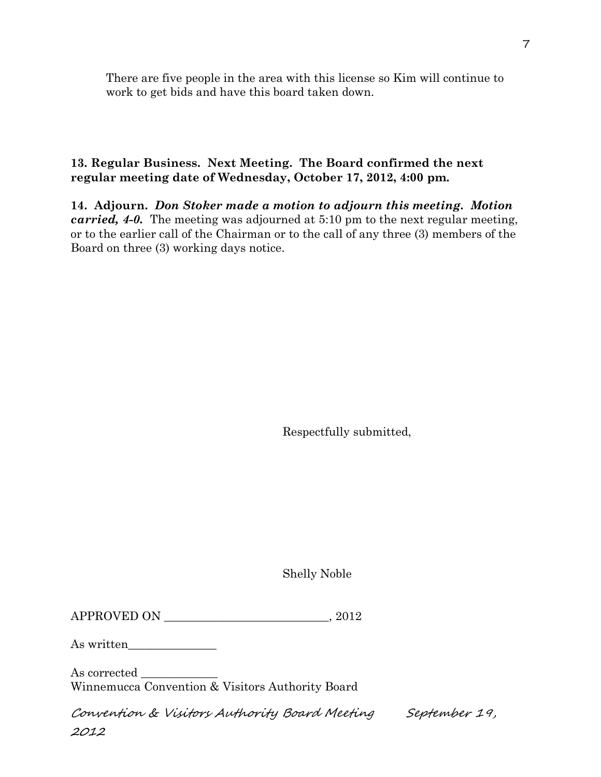There are five people in the area with this license so Kim will continue to work to get bids and have this board taken down.

# **13. Regular Business. Next Meeting. The Board confirmed the next regular meeting date of Wednesday, October 17, 2012, 4:00 pm.**

**14. Adjourn.** *Don Stoker made a motion to adjourn this meeting. Motion carried, 4-0.* The meeting was adjourned at 5:10 pm to the next regular meeting, or to the earlier call of the Chairman or to the call of any three (3) members of the Board on three (3) working days notice.

Respectfully submitted,

Shelly Noble

| APPROVED ON | 2012 |
|-------------|------|
|-------------|------|

As written\_\_\_\_\_\_\_\_\_\_\_\_\_\_\_

As corrected \_\_\_\_\_\_\_\_\_\_\_\_\_ Winnemucca Convention & Visitors Authority Board